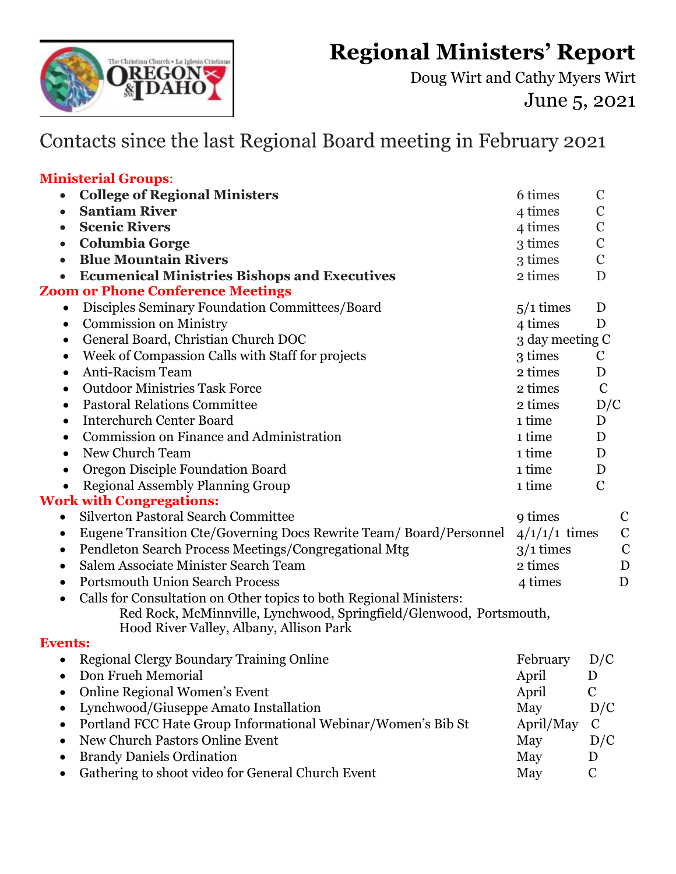**Regional Ministers' Report** 



Doug Wirt and Cathy Myers Wirt June 5, 2021

## Contacts since the last Regional Board meeting in February 2021

## **Ministerial Groups**:

| <b>College of Regional Ministers</b><br>$\bullet$                                                                                                                                                 | 6 times         | $\mathcal{C}$ |             |
|---------------------------------------------------------------------------------------------------------------------------------------------------------------------------------------------------|-----------------|---------------|-------------|
| <b>Santiam River</b><br>$\bullet$                                                                                                                                                                 | 4 times         | $\mathbf C$   |             |
| <b>Scenic Rivers</b><br>$\bullet$                                                                                                                                                                 | 4 times         | $\mathbf C$   |             |
| <b>Columbia Gorge</b><br>$\bullet$                                                                                                                                                                | 3 times         | $\mathcal{C}$ |             |
| <b>Blue Mountain Rivers</b><br>$\bullet$                                                                                                                                                          | 3 times         | $\mathcal{C}$ |             |
| <b>Ecumenical Ministries Bishops and Executives</b><br>$\bullet$                                                                                                                                  | 2 times         | D             |             |
| <b>Zoom or Phone Conference Meetings</b>                                                                                                                                                          |                 |               |             |
| Disciples Seminary Foundation Committees/Board<br>$\bullet$                                                                                                                                       | $5/1$ times     | D             |             |
| <b>Commission on Ministry</b><br>$\bullet$                                                                                                                                                        | 4 times         | D             |             |
| General Board, Christian Church DOC<br>٠                                                                                                                                                          | 3 day meeting C |               |             |
| Week of Compassion Calls with Staff for projects<br>$\bullet$                                                                                                                                     | 3 times         | $\mathbf C$   |             |
| Anti-Racism Team<br>$\bullet$                                                                                                                                                                     | 2 times         | D             |             |
| <b>Outdoor Ministries Task Force</b><br>$\bullet$                                                                                                                                                 | 2 times         | $\mathcal{C}$ |             |
| <b>Pastoral Relations Committee</b><br>$\bullet$                                                                                                                                                  | 2 times         | D/C           |             |
| <b>Interchurch Center Board</b><br>$\bullet$                                                                                                                                                      | 1 time          | D             |             |
| <b>Commission on Finance and Administration</b><br>$\bullet$                                                                                                                                      | 1 time          | D             |             |
| New Church Team<br>$\bullet$                                                                                                                                                                      | 1 time          | D             |             |
| Oregon Disciple Foundation Board<br>$\bullet$                                                                                                                                                     | 1 time          | D             |             |
| <b>Regional Assembly Planning Group</b><br>$\bullet$                                                                                                                                              | 1 time          | $\mathbf C$   |             |
| <b>Work with Congregations:</b>                                                                                                                                                                   |                 |               |             |
| <b>Silverton Pastoral Search Committee</b><br>$\bullet$                                                                                                                                           | 9 times         |               | $\mathbf C$ |
| Eugene Transition Cte/Governing Docs Rewrite Team/Board/Personnel<br>$\bullet$                                                                                                                    | $4/1/1/1$ times |               | $\mathbf C$ |
| Pendleton Search Process Meetings/Congregational Mtg<br>$\bullet$                                                                                                                                 | $3/1$ times     |               | $\mathbf C$ |
| Salem Associate Minister Search Team<br>$\bullet$                                                                                                                                                 | 2 times         |               | D           |
| <b>Portsmouth Union Search Process</b><br>$\bullet$                                                                                                                                               | 4 times         |               | D           |
| Calls for Consultation on Other topics to both Regional Ministers:<br>$\bullet$<br>Red Rock, McMinnville, Lynchwood, Springfield/Glenwood, Portsmouth,<br>Hood River Valley, Albany, Allison Park |                 |               |             |
| <b>Events:</b>                                                                                                                                                                                    |                 |               |             |
| Regional Clergy Boundary Training Online                                                                                                                                                          | February        | D/C           |             |
| Don Frueh Memorial<br>$\bullet$                                                                                                                                                                   | April           | D             |             |
| <b>Online Regional Women's Event</b>                                                                                                                                                              | April           | $\mathbf C$   |             |
| Lynchwood/Giuseppe Amato Installation                                                                                                                                                             | May             | D/C           |             |
| Portland FCC Hate Group Informational Webinar/Women's Bib St                                                                                                                                      | April/May       | $\mathbf C$   |             |
| New Church Pastors Online Event                                                                                                                                                                   | May             | D/C           |             |
| <b>Brandy Daniels Ordination</b>                                                                                                                                                                  | May             | D             |             |
| Gathering to shoot video for General Church Event                                                                                                                                                 | May             | $\mathbf C$   |             |